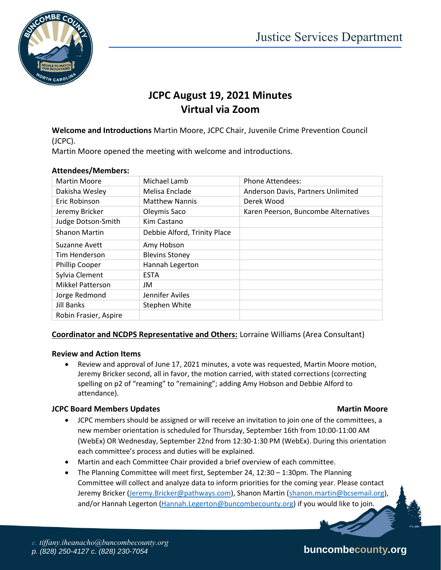

# **JCPC August 19, 2021 Minutes Virtual via Zoom**

**Welcome and Introductions** Martin Moore, JCPC Chair, Juvenile Crime Prevention Council (JCPC).

Martin Moore opened the meeting with welcome and introductions.

| <b>Martin Moore</b>     | Michael Lamb                 | <b>Phone Attendees:</b>              |  |
|-------------------------|------------------------------|--------------------------------------|--|
| Dakisha Wesley          | Melisa Enclade               | Anderson Davis, Partners Unlimited   |  |
| Eric Robinson           | <b>Matthew Nannis</b>        | Derek Wood                           |  |
| Jeremy Bricker          | Oleymis Saco                 | Karen Peerson, Buncombe Alternatives |  |
| Judge Dotson-Smith      | Kim Castano                  |                                      |  |
| Shanon Martin           | Debbie Alford, Trinity Place |                                      |  |
| Suzanne Avett           | Amy Hobson                   |                                      |  |
| Tim Henderson           | <b>Blevins Stoney</b>        |                                      |  |
| <b>Phillip Cooper</b>   | Hannah Legerton              |                                      |  |
| Sylvia Clement          | <b>ESTA</b>                  |                                      |  |
| <b>Mikkel Patterson</b> | JM                           |                                      |  |
| Jorge Redmond           | Jennifer Aviles              |                                      |  |
| <b>Jill Banks</b>       | Stephen White                |                                      |  |
| Robin Frasier, Aspire   |                              |                                      |  |

### **Attendees/Members:**

# **Coordinator and NCDPS Representative and Others:** Lorraine Williams (Area Consultant)

### **Review and Action Items**

 Review and approval of June 17, 2021 minutes, a vote was requested, Martin Moore motion, Jeremy Bricker second, all in favor, the motion carried, with stated corrections (correcting spelling on p2 of "reaming" to "remaining"; adding Amy Hobson and Debbie Alford to attendance).

### **JCPC Board Members Updates Martin Moore** Martin Moore

- JCPC members should be assigned or will receive an invitation to join one of the committees, a new member orientation is scheduled for Thursday, September 16th from 10:00-11:00 AM (WebEx) OR Wednesday, September 22nd from 12:30-1:30 PM (WebEx). During this orientation each committee's process and duties will be explained.
- Martin and each Committee Chair provided a brief overview of each committee.
- The Planning Committee will meet first, September 24, 12:30 1:30pm. The Planning Committee will collect and analyze data to inform priorities for the coming year. Please contact Jeremy Bricker [\(Jeremy.Bricker@pathways.com\)](mailto:Jeremy.Bricker@pathways.com), Shanon Martin [\(shanon.martin@bcsemail.org\)](mailto:shanon.martin@bcsemail.org), and/or Hannah Legerton [\(Hannah.Legerton@buncombecounty.org\)](mailto:Hannah.Legerton@buncombecounty.org) if you would like to join.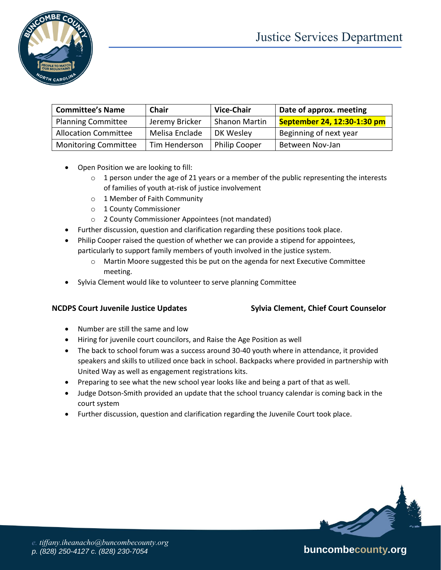



| <b>Committee's Name</b>     | Chair          | <b>Vice-Chair</b>    | Date of approx. meeting     |
|-----------------------------|----------------|----------------------|-----------------------------|
| <b>Planning Committee</b>   | Jeremy Bricker | <b>Shanon Martin</b> | September 24, 12:30-1:30 pm |
| <b>Allocation Committee</b> | Melisa Enclade | DK Wesley            | Beginning of next year      |
| <b>Monitoring Committee</b> | Tim Henderson  | <b>Philip Cooper</b> | Between Nov-Jan             |

- Open Position we are looking to fill:
	- $\circ$  1 person under the age of 21 years or a member of the public representing the interests of families of youth at-risk of justice involvement
	- o 1 Member of Faith Community
	- o 1 County Commissioner
	- o 2 County Commissioner Appointees (not mandated)
- Further discussion, question and clarification regarding these positions took place.
- Philip Cooper raised the question of whether we can provide a stipend for appointees, particularly to support family members of youth involved in the justice system.
	- o Martin Moore suggested this be put on the agenda for next Executive Committee meeting.
- Sylvia Clement would like to volunteer to serve planning Committee

### **NCDPS Court Juvenile Justice Updates Sylvia Clement, Chief Court Counselor**

- Number are still the same and low
- Hiring for juvenile court councilors, and Raise the Age Position as well
- The back to school forum was a success around 30-40 youth where in attendance, it provided speakers and skills to utilized once back in school. Backpacks where provided in partnership with United Way as well as engagement registrations kits.
- Preparing to see what the new school year looks like and being a part of that as well.
- Judge Dotson-Smith provided an update that the school truancy calendar is coming back in the court system
- Further discussion, question and clarification regarding the Juvenile Court took place.